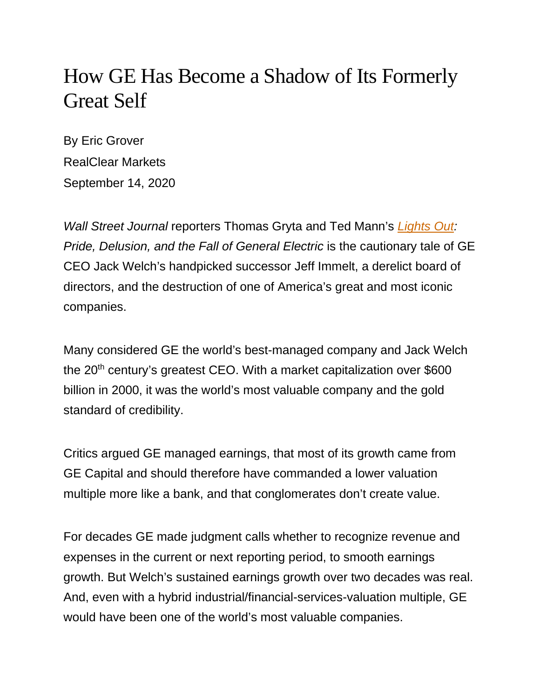## How GE Has Become a Shadow of Its Formerly Great Self

By Eric Grover RealClear Markets September 14, 2020

*Wall Street Journal* reporters Thomas Gryta and Ted Mann's *[Lights Out:](https://www.amazon.com/Untitled-Houghton-Mifflin-Harcourt/dp/0358250412/ref=sr_1_1?crid=3A9C2ZZPR92ZF&dchild=1&keywords=lights+out+book&qid=1599663037&s=books&sprefix=lights+out%2Caps%2C218&sr=1-1) Pride, Delusion, and the Fall of General Electric* is the cautionary tale of GE CEO Jack Welch's handpicked successor Jeff Immelt, a derelict board of directors, and the destruction of one of America's great and most iconic companies.

Many considered GE the world's best-managed company and Jack Welch the 20<sup>th</sup> century's greatest CEO. With a market capitalization over \$600 billion in 2000, it was the world's most valuable company and the gold standard of credibility.

Critics argued GE managed earnings, that most of its growth came from GE Capital and should therefore have commanded a lower valuation multiple more like a bank, and that conglomerates don't create value.

For decades GE made judgment calls whether to recognize revenue and expenses in the current or next reporting period, to smooth earnings growth. But Welch's sustained earnings growth over two decades was real. And, even with a hybrid industrial/financial-services-valuation multiple, GE would have been one of the world's most valuable companies.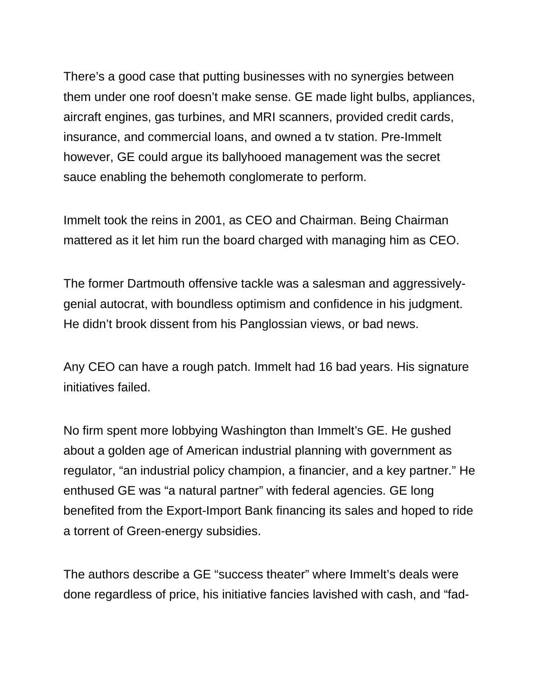There's a good case that putting businesses with no synergies between them under one roof doesn't make sense. GE made light bulbs, appliances, aircraft engines, gas turbines, and MRI scanners, provided credit cards, insurance, and commercial loans, and owned a tv station. Pre-Immelt however, GE could argue its ballyhooed management was the secret sauce enabling the behemoth conglomerate to perform.

Immelt took the reins in 2001, as CEO and Chairman. Being Chairman mattered as it let him run the board charged with managing him as CEO.

The former Dartmouth offensive tackle was a salesman and aggressivelygenial autocrat, with boundless optimism and confidence in his judgment. He didn't brook dissent from his Panglossian views, or bad news.

Any CEO can have a rough patch. Immelt had 16 bad years. His signature initiatives failed.

No firm spent more lobbying Washington than Immelt's GE. He gushed about a golden age of American industrial planning with government as regulator, "an industrial policy champion, a financier, and a key partner." He enthused GE was "a natural partner" with federal agencies. GE long benefited from the Export-Import Bank financing its sales and hoped to ride a torrent of Green-energy subsidies.

The authors describe a GE "success theater" where Immelt's deals were done regardless of price, his initiative fancies lavished with cash, and "fad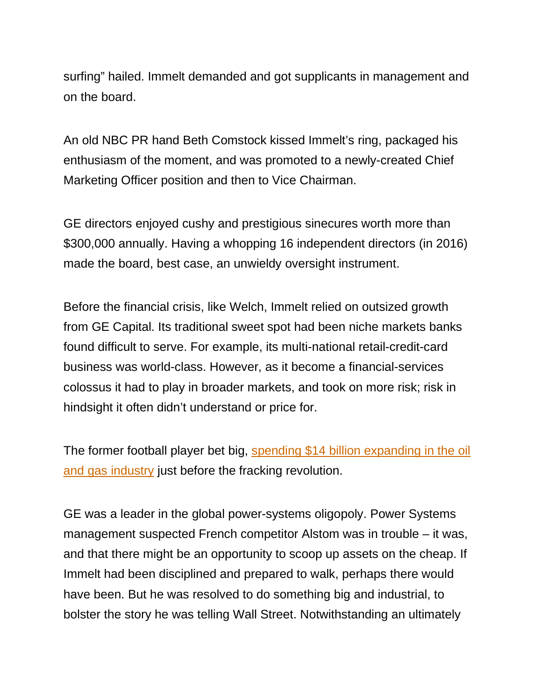surfing" hailed. Immelt demanded and got supplicants in management and on the board.

An old NBC PR hand Beth Comstock kissed Immelt's ring, packaged his enthusiasm of the moment, and was promoted to a newly-created Chief Marketing Officer position and then to Vice Chairman.

GE directors enjoyed cushy and prestigious sinecures worth more than \$300,000 annually. Having a whopping 16 independent directors (in 2016) made the board, best case, an unwieldy oversight instrument.

Before the financial crisis, like Welch, Immelt relied on outsized growth from GE Capital. Its traditional sweet spot had been niche markets banks found difficult to serve. For example, its multi-national retail-credit-card business was world-class. However, as it become a financial-services colossus it had to play in broader markets, and took on more risk; risk in hindsight it often didn't understand or price for.

The former football player bet big, [spending \\$14 billion expanding in the oil](https://nypost.com/2020/07/11/how-a-power-hungry-ceo-drained-the-light-out-of-general-electric/)  [and gas industry](https://nypost.com/2020/07/11/how-a-power-hungry-ceo-drained-the-light-out-of-general-electric/) just before the fracking revolution.

GE was a leader in the global power-systems oligopoly. Power Systems management suspected French competitor Alstom was in trouble – it was, and that there might be an opportunity to scoop up assets on the cheap. If Immelt had been disciplined and prepared to walk, perhaps there would have been. But he was resolved to do something big and industrial, to bolster the story he was telling Wall Street. Notwithstanding an ultimately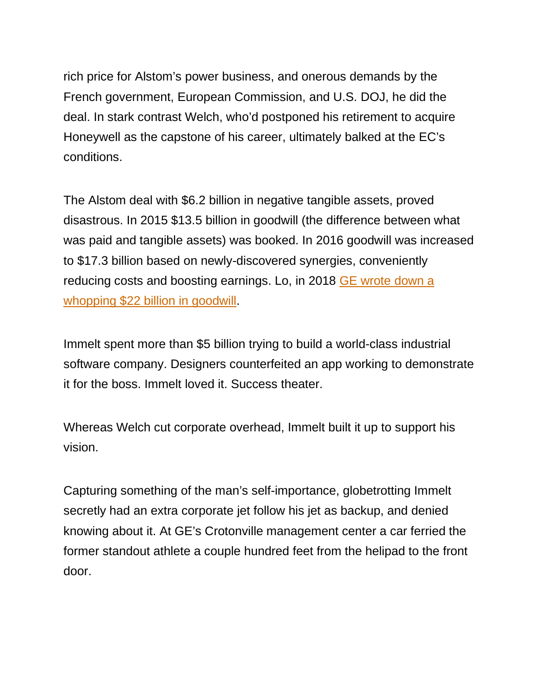rich price for Alstom's power business, and onerous demands by the French government, European Commission, and U.S. DOJ, he did the deal. In stark contrast Welch, who'd postponed his retirement to acquire Honeywell as the capstone of his career, ultimately balked at the EC's conditions.

The Alstom deal with \$6.2 billion in negative tangible assets, proved disastrous. In 2015 \$13.5 billion in goodwill (the difference between what was paid and tangible assets) was booked. In 2016 goodwill was increased to \$17.3 billion based on newly-discovered synergies, conveniently reducing costs and boosting earnings. Lo, in 2018 [GE wrote down a](https://www.wsj.com/articles/how-ge-built-up-and-wrote-down-22-billion-in-assets-11552469401)  [whopping \\$22 billion in goodwill.](https://www.wsj.com/articles/how-ge-built-up-and-wrote-down-22-billion-in-assets-11552469401)

Immelt spent more than \$5 billion trying to build a world-class industrial software company. Designers counterfeited an app working to demonstrate it for the boss. Immelt loved it. Success theater.

Whereas Welch cut corporate overhead, Immelt built it up to support his vision.

Capturing something of the man's self-importance, globetrotting Immelt secretly had an extra corporate jet follow his jet as backup, and denied knowing about it. At GE's Crotonville management center a car ferried the former standout athlete a couple hundred feet from the helipad to the front door.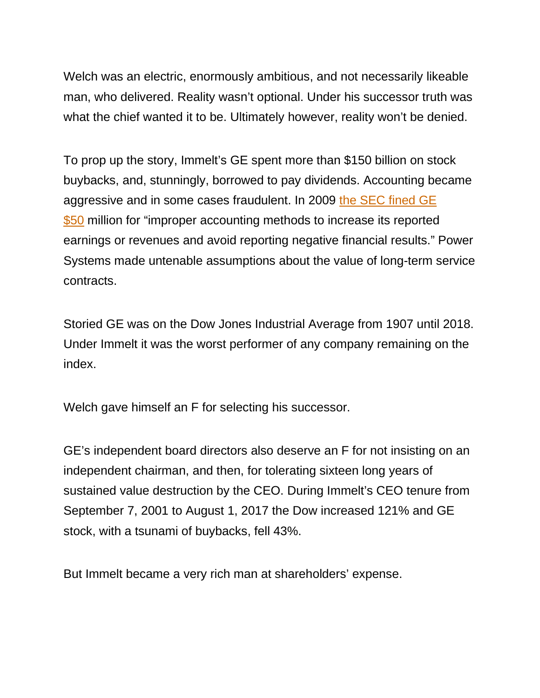Welch was an electric, enormously ambitious, and not necessarily likeable man, who delivered. Reality wasn't optional. Under his successor truth was what the chief wanted it to be. Ultimately however, reality won't be denied.

To prop up the story, Immelt's GE spent more than \$150 billion on stock buybacks, and, stunningly, borrowed to pay dividends. Accounting became aggressive and in some cases fraudulent. In 2009 [the SEC fined GE](https://www.sec.gov/news/press/2009/2009-178.htm)  [\\$50](https://www.sec.gov/news/press/2009/2009-178.htm) million for "improper accounting methods to increase its reported earnings or revenues and avoid reporting negative financial results." Power Systems made untenable assumptions about the value of long-term service contracts.

Storied GE was on the Dow Jones Industrial Average from 1907 until 2018. Under Immelt it was the worst performer of any company remaining on the index.

Welch gave himself an F for selecting his successor.

GE's independent board directors also deserve an F for not insisting on an independent chairman, and then, for tolerating sixteen long years of sustained value destruction by the CEO. During Immelt's CEO tenure from September 7, 2001 to August 1, 2017 the Dow increased 121% and GE stock, with a tsunami of buybacks, fell 43%.

But Immelt became a very rich man at shareholders' expense.